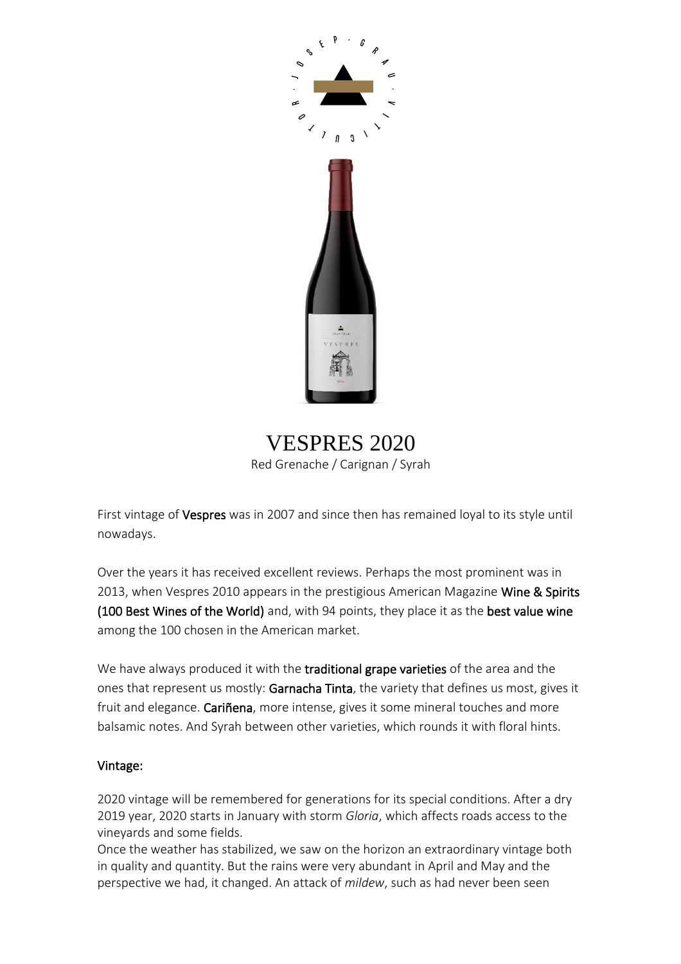

VESPRES 2020 Red Grenache / Carignan / Syrah

First vintage of Vespres was in 2007 and since then has remained loyal to its style until nowadays.

Over the years it has received excellent reviews. Perhaps the most prominent was in 2013, when Vespres 2010 appears in the prestigious American Magazine Wine & Spirits (100 Best Wines of the World) and, with 94 points, they place it as the best value wine among the 100 chosen in the American market.

We have always produced it with the traditional grape varieties of the area and the ones that represent us mostly: Garnacha Tinta, the variety that defines us most, gives it fruit and elegance. Cariñena, more intense, gives it some mineral touches and more balsamic notes. And Syrah between other varieties, which rounds it with floral hints.

# Vintage:

2020 vintage will be remembered for generations for its special conditions. After a dry 2019 year, 2020 starts in January with storm *Gloria*, which affects roads access to the vineyards and some fields.

Once the weather has stabilized, we saw on the horizon an extraordinary vintage both in quality and quantity. But the rains were very abundant in April and May and the perspective we had, it changed. An attack of *mildew*, such as had never been seen